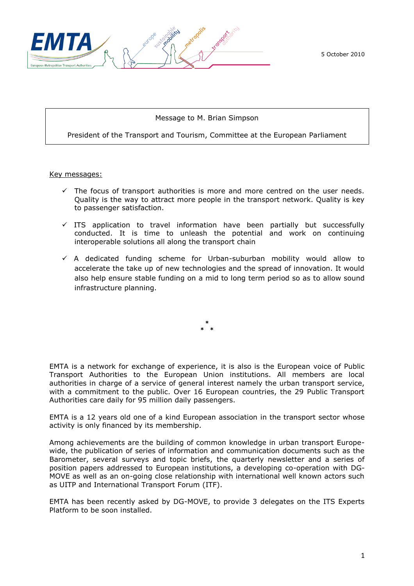

5 October 2010

### Message to M. Brian Simpson

President of the Transport and Tourism, Committee at the European Parliament

Key messages:

- $\checkmark$  The focus of transport authorities is more and more centred on the user needs. Quality is the way to attract more people in the transport network. Quality is key to passenger satisfaction.
- $\checkmark$  ITS application to travel information have been partially but successfully conducted. It is time to unleash the potential and work on continuing interoperable solutions all along the transport chain
- $\checkmark$  A dedicated funding scheme for Urban-suburban mobility would allow to accelerate the take up of new technologies and the spread of innovation. It would also help ensure stable funding on a mid to long term period so as to allow sound infrastructure planning.

**\* \* \***

EMTA is a network for exchange of experience, it is also is the European voice of Public Transport Authorities to the European Union institutions. All members are local authorities in charge of a service of general interest namely the urban transport service, with a commitment to the public. Over 16 European countries, the 29 Public Transport Authorities care daily for 95 million daily passengers.

EMTA is a 12 years old one of a kind European association in the transport sector whose activity is only financed by its membership.

Among achievements are the building of common knowledge in urban transport Europewide, the publication of series of information and communication documents such as the Barometer, several surveys and topic briefs, the quarterly newsletter and a series of position papers addressed to European institutions, a developing co-operation with DG-MOVE as well as an on-going close relationship with international well known actors such as UITP and International Transport Forum (ITF).

EMTA has been recently asked by DG-MOVE, to provide 3 delegates on the ITS Experts Platform to be soon installed.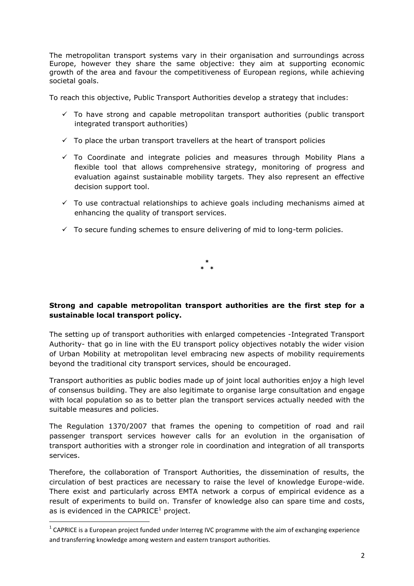The metropolitan transport systems vary in their organisation and surroundings across Europe, however they share the same objective: they aim at supporting economic growth of the area and favour the competitiveness of European regions, while achieving societal goals.

To reach this objective, Public Transport Authorities develop a strategy that includes:

- $\checkmark$  To have strong and capable metropolitan transport authorities (public transport integrated transport authorities)
- $\checkmark$  To place the urban transport travellers at the heart of transport policies
- $\checkmark$  To Coordinate and integrate policies and measures through Mobility Plans a flexible tool that allows comprehensive strategy, monitoring of progress and evaluation against sustainable mobility targets. They also represent an effective decision support tool.
- $\checkmark$  To use contractual relationships to achieve goals including mechanisms aimed at enhancing the quality of transport services.
- $\checkmark$  To secure funding schemes to ensure delivering of mid to long-term policies.

**\* \* \***

# **Strong and capable metropolitan transport authorities are the first step for a sustainable local transport policy.**

The setting up of transport authorities with enlarged competencies -Integrated Transport Authority- that go in line with the EU transport policy objectives notably the wider vision of Urban Mobility at metropolitan level embracing new aspects of mobility requirements beyond the traditional city transport services, should be encouraged.

Transport authorities as public bodies made up of joint local authorities enjoy a high level of consensus building. They are also legitimate to organise large consultation and engage with local population so as to better plan the transport services actually needed with the suitable measures and policies.

The Regulation 1370/2007 that frames the opening to competition of road and rail passenger transport services however calls for an evolution in the organisation of transport authorities with a stronger role in coordination and integration of all transports services.

Therefore, the collaboration of Transport Authorities, the dissemination of results, the circulation of best practices are necessary to raise the level of knowledge Europe-wide. There exist and particularly across EMTA network a corpus of empirical evidence as a result of experiments to build on. Transfer of knowledge also can spare time and costs, as is evidenced in the  $CAPRICE<sup>1</sup>$  project.

 $\overline{a}$ 

<sup>&</sup>lt;sup>1</sup> CAPRICE is a European project funded under Interreg IVC programme with the aim of exchanging experience and transferring knowledge among western and eastern transport authorities.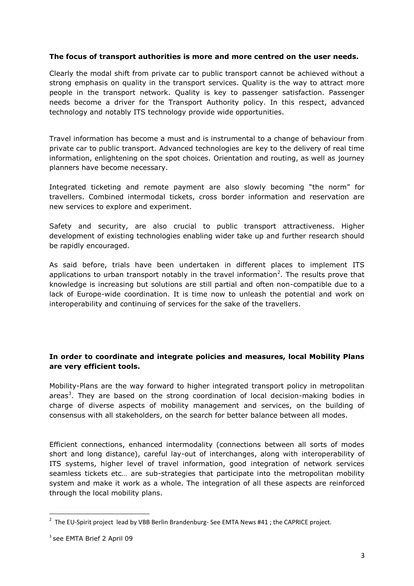### **The focus of transport authorities is more and more centred on the user needs.**

Clearly the modal shift from private car to public transport cannot be achieved without a strong emphasis on quality in the transport services. Quality is the way to attract more people in the transport network. Quality is key to passenger satisfaction. Passenger needs become a driver for the Transport Authority policy. In this respect, advanced technology and notably ITS technology provide wide opportunities.

Travel information has become a must and is instrumental to a change of behaviour from private car to public transport. Advanced technologies are key to the delivery of real time information, enlightening on the spot choices. Orientation and routing, as well as journey planners have become necessary.

Integrated ticketing and remote payment are also slowly becoming "the norm" for travellers. Combined intermodal tickets, cross border information and reservation are new services to explore and experiment.

Safety and security, are also crucial to public transport attractiveness. Higher development of existing technologies enabling wider take up and further research should be rapidly encouraged.

As said before, trials have been undertaken in different places to implement ITS applications to urban transport notably in the travel information<sup>2</sup>. The results prove that knowledge is increasing but solutions are still partial and often non-compatible due to a lack of Europe-wide coordination. It is time now to unleash the potential and work on interoperability and continuing of services for the sake of the travellers.

### **In order to coordinate and integrate policies and measures, local Mobility Plans are very efficient tools.**

Mobility-Plans are the way forward to higher integrated transport policy in metropolitan areas<sup>3</sup>. They are based on the strong coordination of local decision-making bodies in charge of diverse aspects of mobility management and services, on the building of consensus with all stakeholders, on the search for better balance between all modes.

Efficient connections, enhanced intermodality (connections between all sorts of modes short and long distance), careful lay-out of interchanges, along with interoperability of ITS systems, higher level of travel information, good integration of network services seamless tickets etc… are sub-strategies that participate into the metropolitan mobility system and make it work as a whole. The integration of all these aspects are reinforced through the local mobility plans.

 $\overline{a}$ 

 $^{2}$  The EU-Spirit project lead by VBB Berlin Brandenburg- See EMTA News #41 ; the CAPRICE project.

<sup>3</sup> see EMTA Brief 2 April 09